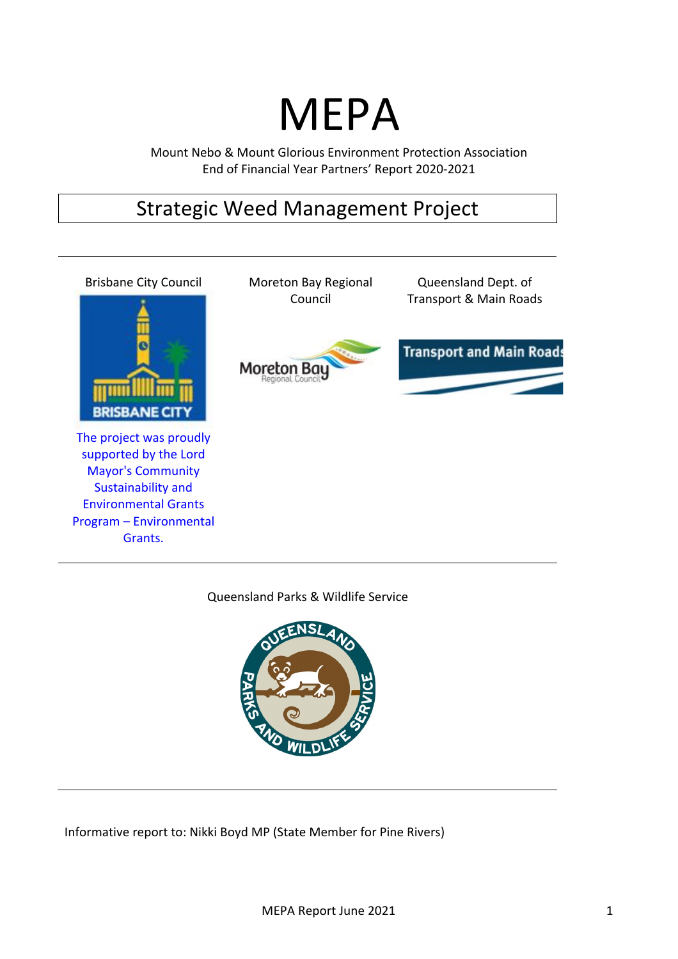# MEPA

Mount Nebo & Mount Glorious Environment Protection Association End of Financial Year Partners' Report 2020-2021

# Strategic Weed Management Project



Queensland Parks & Wildlife Service



Informative report to: Nikki Boyd MP (State Member for Pine Rivers)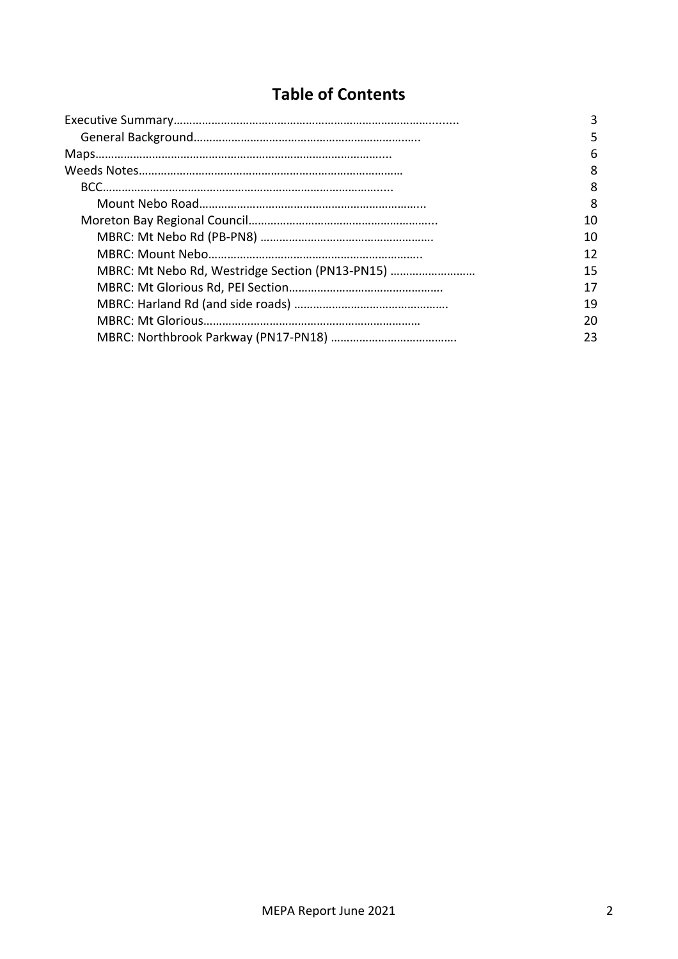# **Table of Contents**

|                                                 | 3  |
|-------------------------------------------------|----|
|                                                 | 5  |
|                                                 | 6  |
|                                                 | 8  |
|                                                 | 8  |
|                                                 | 8  |
|                                                 | 10 |
|                                                 | 10 |
|                                                 | 12 |
| MBRC: Mt Nebo Rd, Westridge Section (PN13-PN15) | 15 |
|                                                 | 17 |
|                                                 | 19 |
|                                                 | 20 |
|                                                 | 23 |
|                                                 |    |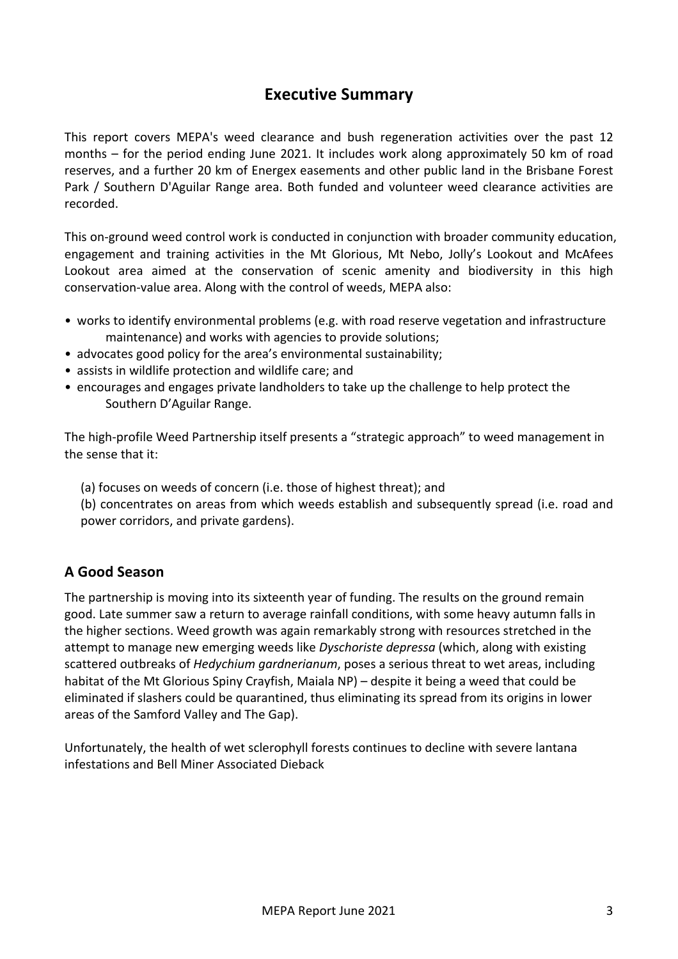# **Executive Summary**

This report covers MEPA's weed clearance and bush regeneration activities over the past 12 months  $-$  for the period ending June 2021. It includes work along approximately 50 km of road reserves, and a further 20 km of Energex easements and other public land in the Brisbane Forest Park / Southern D'Aguilar Range area. Both funded and volunteer weed clearance activities are recorded. 

This on-ground weed control work is conducted in conjunction with broader community education, engagement and training activities in the Mt Glorious, Mt Nebo, Jolly's Lookout and McAfees Lookout area aimed at the conservation of scenic amenity and biodiversity in this high conservation-value area. Along with the control of weeds, MEPA also:

- works to identify environmental problems (e.g. with road reserve vegetation and infrastructure maintenance) and works with agencies to provide solutions;
- advocates good policy for the area's environmental sustainability;
- assists in wildlife protection and wildlife care; and
- encourages and engages private landholders to take up the challenge to help protect the Southern D'Aguilar Range.

The high-profile Weed Partnership itself presents a "strategic approach" to weed management in the sense that it:

- (a) focuses on weeds of concern (i.e. those of highest threat); and
- (b) concentrates on areas from which weeds establish and subsequently spread (i.e. road and power corridors, and private gardens).

# **A Good Season**

The partnership is moving into its sixteenth year of funding. The results on the ground remain good. Late summer saw a return to average rainfall conditions, with some heavy autumn falls in the higher sections. Weed growth was again remarkably strong with resources stretched in the attempt to manage new emerging weeds like *Dyschoriste depressa* (which, along with existing scattered outbreaks of *Hedychium gardnerianum*, poses a serious threat to wet areas, including habitat of the Mt Glorious Spiny Crayfish, Maiala NP) – despite it being a weed that could be eliminated if slashers could be quarantined, thus eliminating its spread from its origins in lower areas of the Samford Valley and The Gap).

Unfortunately, the health of wet sclerophyll forests continues to decline with severe lantana infestations and Bell Miner Associated Dieback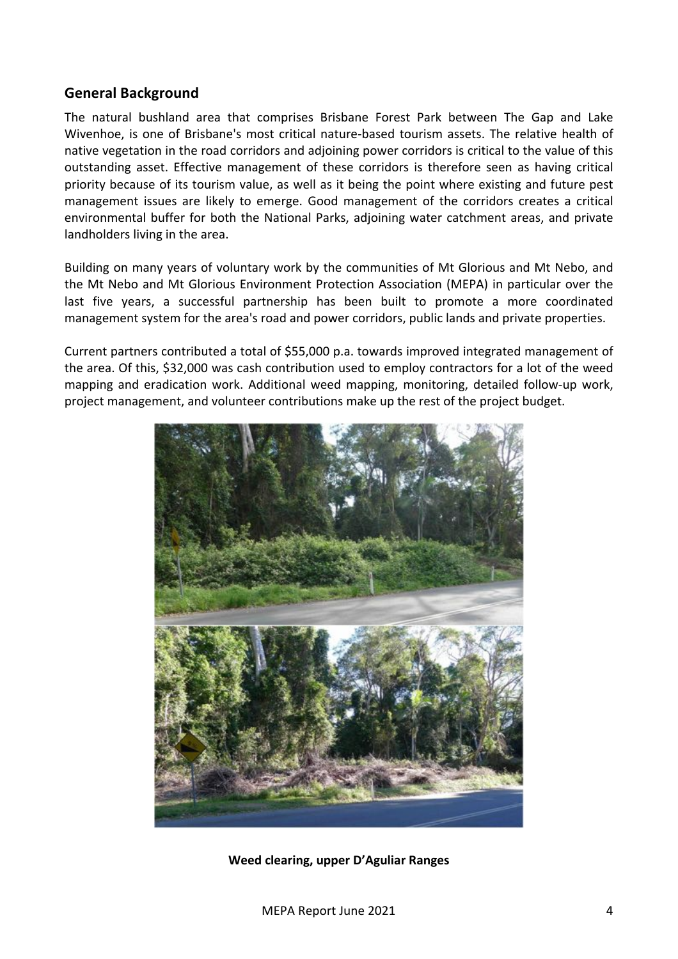## **General Background**

The natural bushland area that comprises Brisbane Forest Park between The Gap and Lake Wivenhoe, is one of Brisbane's most critical nature-based tourism assets. The relative health of native vegetation in the road corridors and adjoining power corridors is critical to the value of this outstanding asset. Effective management of these corridors is therefore seen as having critical priority because of its tourism value, as well as it being the point where existing and future pest management issues are likely to emerge. Good management of the corridors creates a critical environmental buffer for both the National Parks, adjoining water catchment areas, and private landholders living in the area.

Building on many years of voluntary work by the communities of Mt Glorious and Mt Nebo, and the Mt Nebo and Mt Glorious Environment Protection Association (MEPA) in particular over the last five years, a successful partnership has been built to promote a more coordinated management system for the area's road and power corridors, public lands and private properties.

Current partners contributed a total of \$55,000 p.a. towards improved integrated management of the area. Of this, \$32,000 was cash contribution used to employ contractors for a lot of the weed mapping and eradication work. Additional weed mapping, monitoring, detailed follow-up work, project management, and volunteer contributions make up the rest of the project budget.



**Weed clearing, upper D'Aguliar Ranges**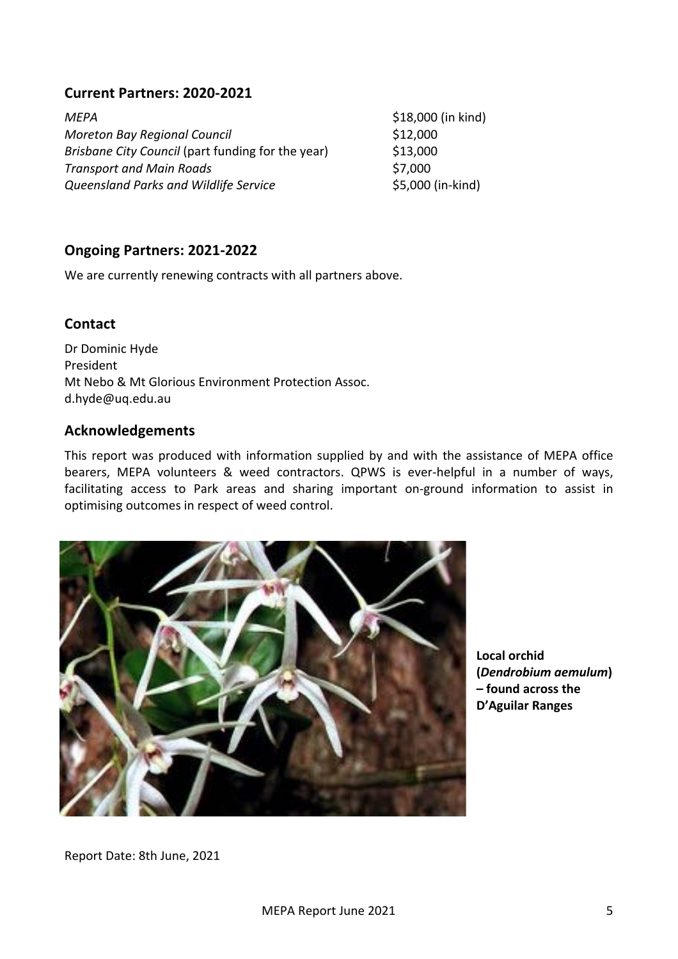# **Current Partners: 2020-2021**

| MFPA                                              | \$18,000 (in kind) |
|---------------------------------------------------|--------------------|
| <b>Moreton Bay Regional Council</b>               | \$12,000           |
| Brisbane City Council (part funding for the year) | \$13,000           |
| <b>Transport and Main Roads</b>                   | \$7,000            |
| Queensland Parks and Wildlife Service             | \$5,000 (in-kind)  |

# **Ongoing Partners: 2021-2022**

We are currently renewing contracts with all partners above.

## **Contact**

Dr Dominic Hyde President Mt Nebo & Mt Glorious Environment Protection Assoc. d.hyde@uq.edu.au

#### **Acknowledgements**

This report was produced with information supplied by and with the assistance of MEPA office bearers, MEPA volunteers & weed contractors. QPWS is ever-helpful in a number of ways, facilitating access to Park areas and sharing important on-ground information to assist in optimising outcomes in respect of weed control.



Local orchid **(***Dendrobium aemulum***) – found across the D'Aguilar Ranges**

Report Date: 8th June, 2021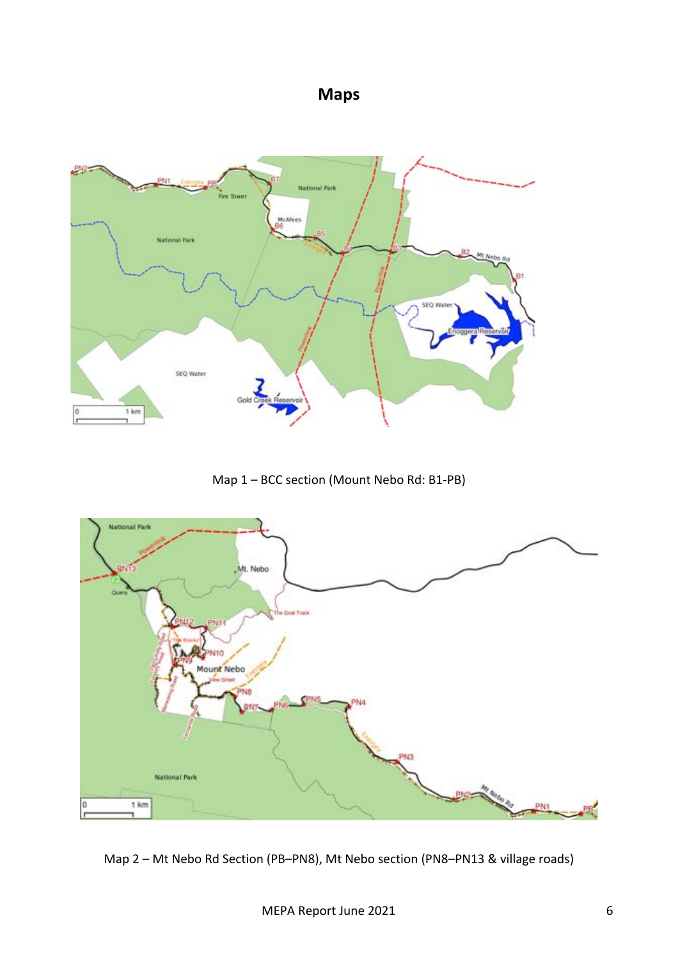# **Maps**



Map 1 – BCC section (Mount Nebo Rd: B1-PB)



Map 2 – Mt Nebo Rd Section (PB–PN8), Mt Nebo section (PN8–PN13 & village roads)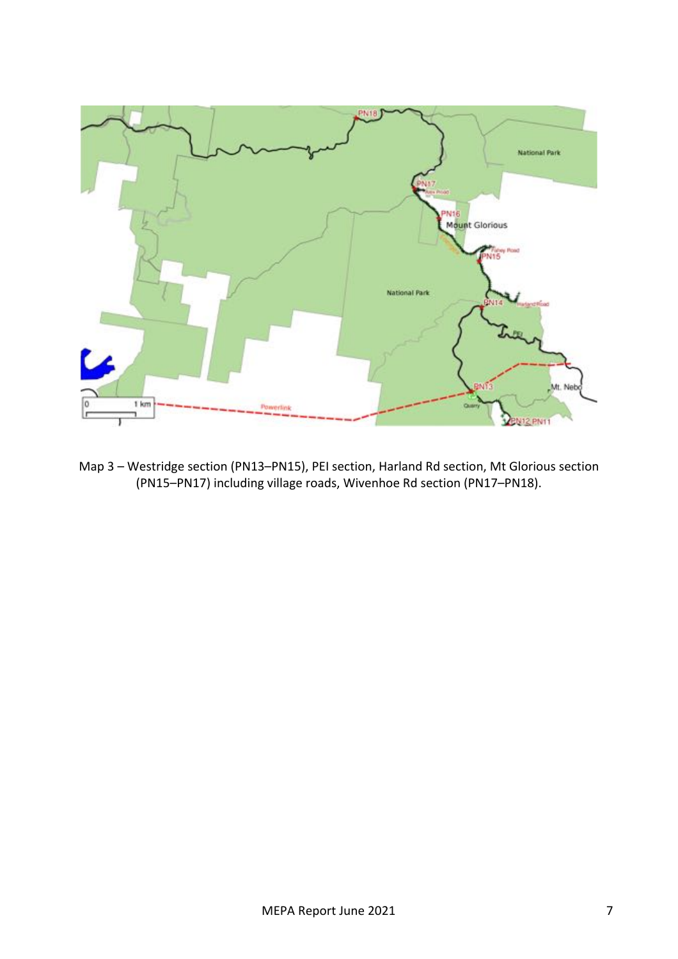

Map 3 - Westridge section (PN13-PN15), PEI section, Harland Rd section, Mt Glorious section (PN15–PN17) including village roads, Wivenhoe Rd section (PN17–PN18).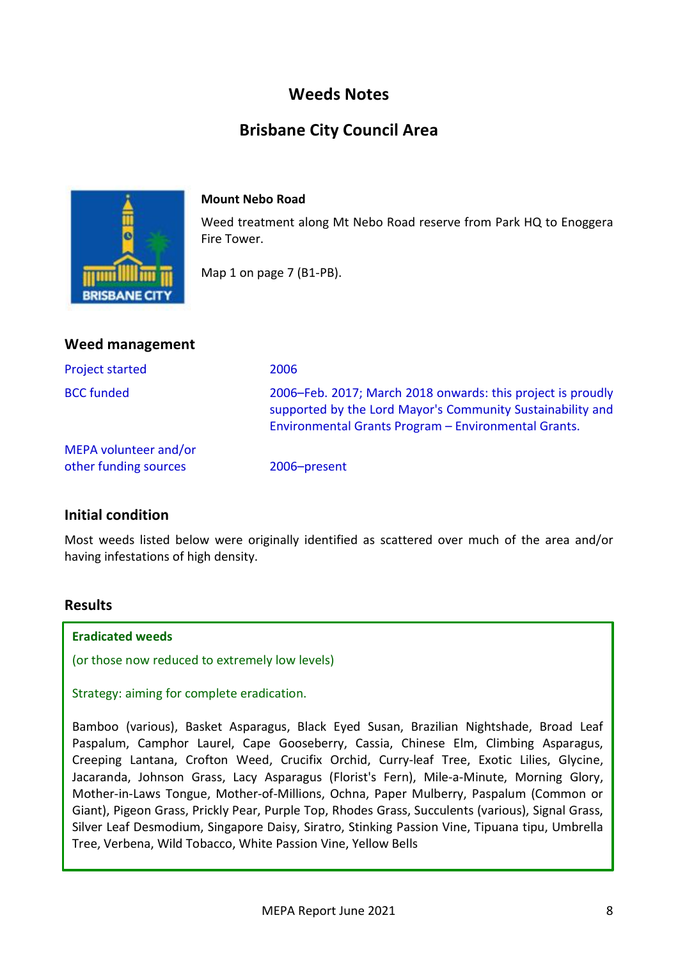# **Weeds Notes**

# **Brisbane City Council Area**



#### **Mount Nebo Road**

Weed treatment along Mt Nebo Road reserve from Park HQ to Enoggera Fire Tower.

Map 1 on page 7 (B1-PB).

| <b>Weed management</b>                         |                                                                                                                                                                                   |
|------------------------------------------------|-----------------------------------------------------------------------------------------------------------------------------------------------------------------------------------|
| <b>Project started</b>                         | 2006                                                                                                                                                                              |
| <b>BCC</b> funded                              | 2006–Feb. 2017; March 2018 onwards: this project is proudly<br>supported by the Lord Mayor's Community Sustainability and<br>Environmental Grants Program - Environmental Grants. |
| MEPA volunteer and/or<br>other funding sources | 2006-present                                                                                                                                                                      |

# **Initial condition**

Most weeds listed below were originally identified as scattered over much of the area and/or having infestations of high density.

#### **Results**

#### **Eradicated weeds**

(or those now reduced to extremely low levels)

Strategy: aiming for complete eradication.

Bamboo (various), Basket Asparagus, Black Eyed Susan, Brazilian Nightshade, Broad Leaf Paspalum, Camphor Laurel, Cape Gooseberry, Cassia, Chinese Elm, Climbing Asparagus, Creeping Lantana, Crofton Weed, Crucifix Orchid, Curry-leaf Tree, Exotic Lilies, Glycine, Jacaranda, Johnson Grass, Lacy Asparagus (Florist's Fern), Mile-a-Minute, Morning Glory, Mother-in-Laws Tongue, Mother-of-Millions, Ochna, Paper Mulberry, Paspalum (Common or Giant), Pigeon Grass, Prickly Pear, Purple Top, Rhodes Grass, Succulents (various), Signal Grass, Silver Leaf Desmodium, Singapore Daisy, Siratro, Stinking Passion Vine, Tipuana tipu, Umbrella Tree, Verbena, Wild Tobacco, White Passion Vine, Yellow Bells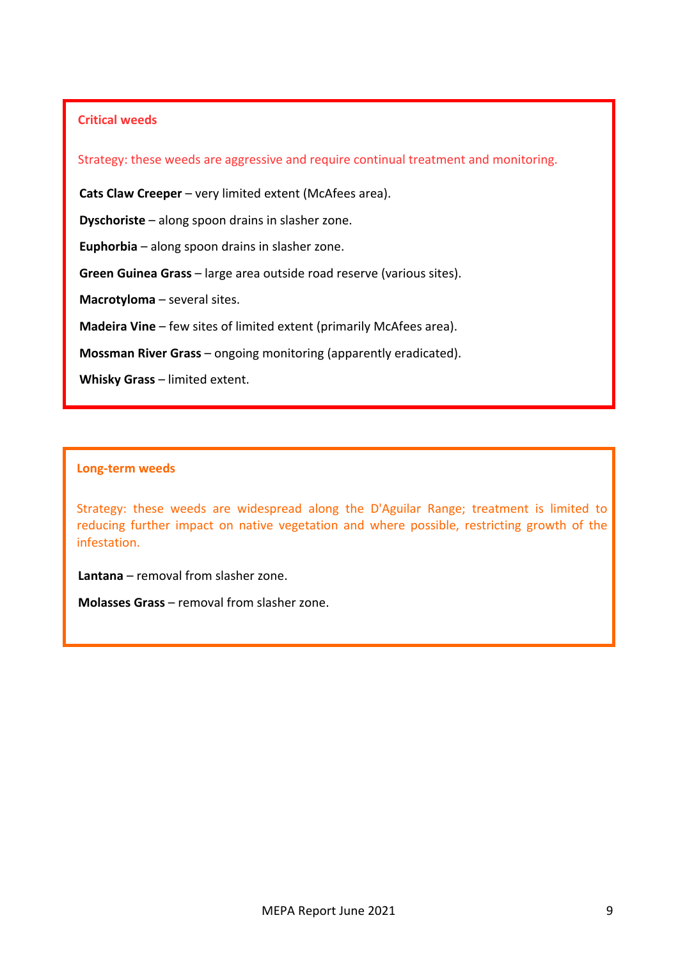## **Critical weeds**

Strategy: these weeds are aggressive and require continual treatment and monitoring.

**Cats Claw Creeper** – very limited extent (McAfees area).

**Dyschoriste** – along spoon drains in slasher zone.

**Euphorbia** – along spoon drains in slasher zone.

**Green Guinea Grass** – large area outside road reserve (various sites).

**Macrotyloma** – several sites.

**Madeira Vine** – few sites of limited extent (primarily McAfees area).

**Mossman River Grass** – ongoing monitoring (apparently eradicated).

**Whisky Grass** – limited extent.

#### **Long-term weeds**

Strategy: these weeds are widespread along the D'Aguilar Range; treatment is limited to reducing further impact on native vegetation and where possible, restricting growth of the infestation.

**Lantana** – removal from slasher zone.

**Molasses Grass** – removal from slasher zone.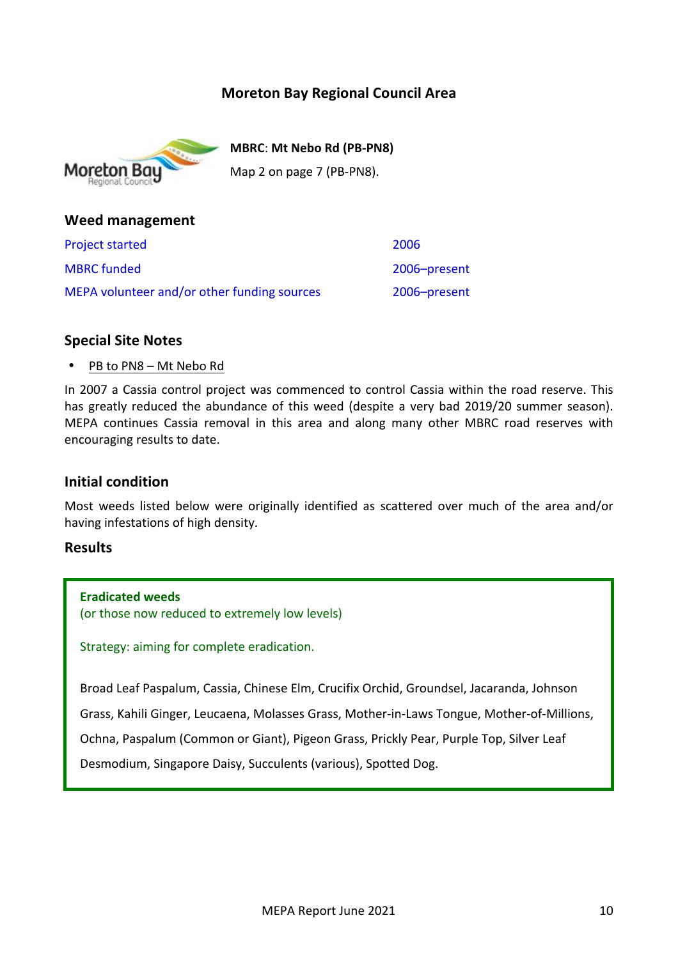# **Moreton Bay Regional Council Area**



**MBRC**: **Mt Nebo Rd (PB-PN8)** Map 2 on page 7 (PB-PN8).

# **Weed management**

| <b>Project started</b>                      | 2006         |
|---------------------------------------------|--------------|
| <b>MBRC</b> funded                          | 2006-present |
| MEPA volunteer and/or other funding sources | 2006-present |

## **Special Site Notes**

PB to PN8 – Mt Nebo Rd

In 2007 a Cassia control project was commenced to control Cassia within the road reserve. This has greatly reduced the abundance of this weed (despite a very bad 2019/20 summer season). MEPA continues Cassia removal in this area and along many other MBRC road reserves with encouraging results to date.

## **Initial condition**

Most weeds listed below were originally identified as scattered over much of the area and/or having infestations of high density.

## **Results**

**Eradicated weeds** (or those now reduced to extremely low levels)

Strategy: aiming for complete eradication.

Broad Leaf Paspalum, Cassia, Chinese Elm, Crucifix Orchid, Groundsel, Jacaranda, Johnson

Grass, Kahili Ginger, Leucaena, Molasses Grass, Mother-in-Laws Tongue, Mother-of-Millions,

Ochna, Paspalum (Common or Giant), Pigeon Grass, Prickly Pear, Purple Top, Silver Leaf

Desmodium, Singapore Daisy, Succulents (various), Spotted Dog.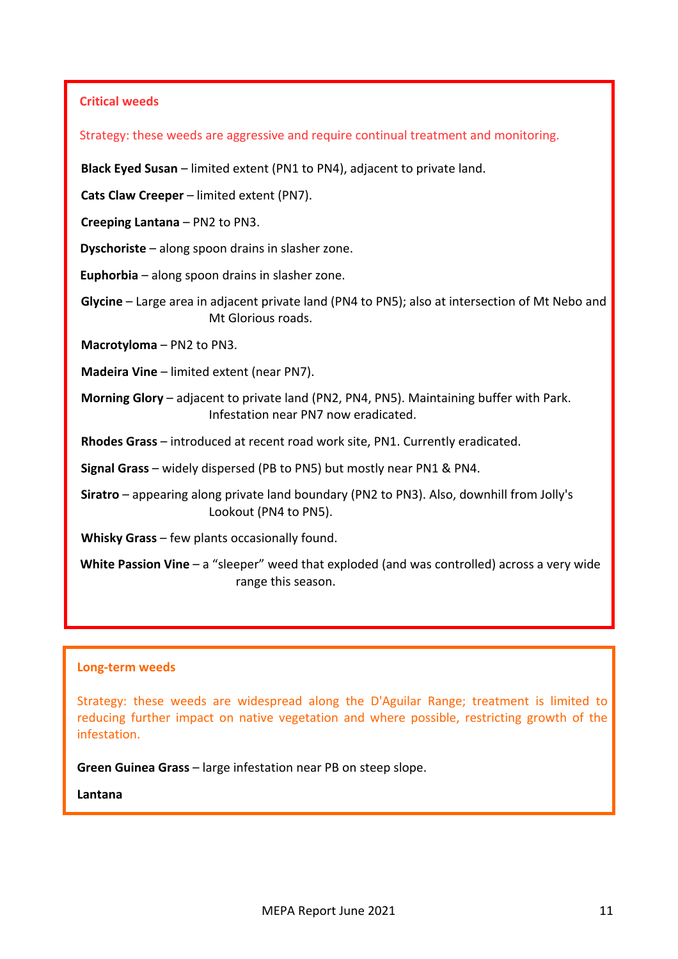### **Critical weeds**

Strategy: these weeds are aggressive and require continual treatment and monitoring.

**Black Eyed Susan** – limited extent (PN1 to PN4), adjacent to private land.

**Cats Claw Creeper** – limited extent (PN7).

**Creeping Lantana** – PN2 to PN3.

**Dyschoriste** – along spoon drains in slasher zone.

**Euphorbia** – along spoon drains in slasher zone.

**Glycine** – Large area in adjacent private land (PN4 to PN5); also at intersection of Mt Nebo and Mt Glorious roads.

**Macrotyloma** – PN2 to PN3.

**Madeira Vine** – limited extent (near PN7).

**Morning Glory** – adjacent to private land (PN2, PN4, PN5). Maintaining buffer with Park. Infestation near PN7 now eradicated.

**Rhodes Grass** – introduced at recent road work site, PN1. Currently eradicated.

**Signal Grass** – widely dispersed (PB to PN5) but mostly near PN1 & PN4.

**Siratro** – appearing along private land boundary (PN2 to PN3). Also, downhill from Jolly's Lookout (PN4 to PN5).

**Whisky Grass** – few plants occasionally found.

**White Passion Vine** – a "sleeper" weed that exploded (and was controlled) across a very wide range this season.

#### **Long-term weeds**

Strategy: these weeds are widespread along the D'Aguilar Range; treatment is limited to reducing further impact on native vegetation and where possible, restricting growth of the infestation.

**Green Guinea Grass** – large infestation near PB on steep slope.

**Lantana**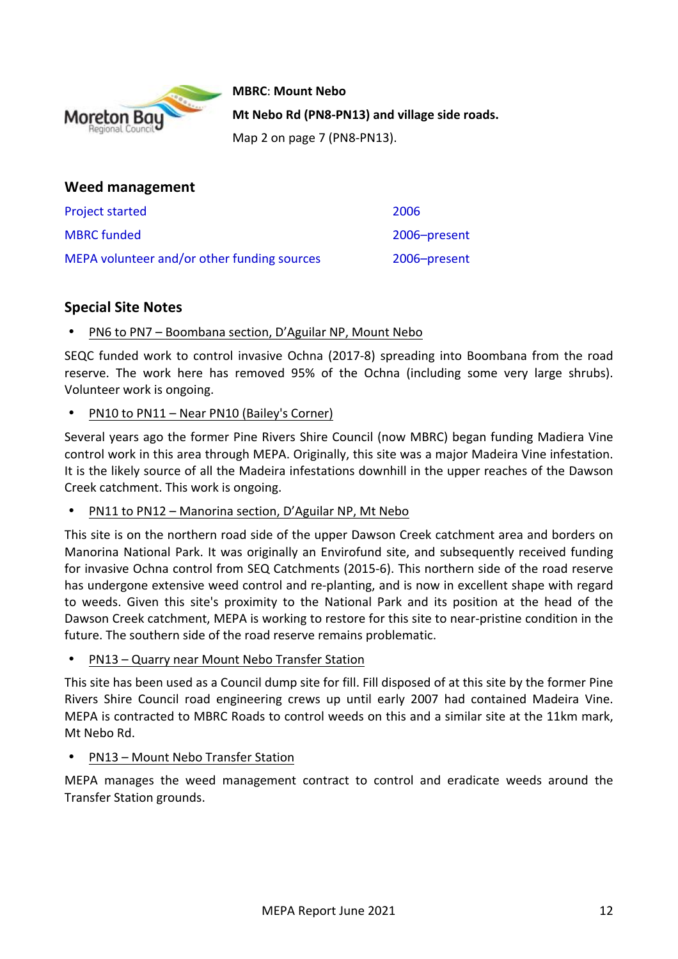

**MBRC**: **Mount Nebo** Mt Nebo Rd (PN8-PN13) and village side roads. Map 2 on page 7 (PN8-PN13).

| Weed management                             |              |
|---------------------------------------------|--------------|
| <b>Project started</b>                      | 2006         |
| <b>MBRC</b> funded                          | 2006-present |
| MEPA volunteer and/or other funding sources | 2006-present |

# **Special Site Notes**

PN6 to PN7 - Boombana section, D'Aguilar NP, Mount Nebo

SEQC funded work to control invasive Ochna (2017-8) spreading into Boombana from the road reserve. The work here has removed 95% of the Ochna (including some very large shrubs). Volunteer work is ongoing.

PN10 to PN11 - Near PN10 (Bailey's Corner)

Several years ago the former Pine Rivers Shire Council (now MBRC) began funding Madiera Vine control work in this area through MEPA. Originally, this site was a major Madeira Vine infestation. It is the likely source of all the Madeira infestations downhill in the upper reaches of the Dawson Creek catchment. This work is ongoing.

PN11 to PN12 – Manorina section, D'Aguilar NP, Mt Nebo

This site is on the northern road side of the upper Dawson Creek catchment area and borders on Manorina National Park. It was originally an Envirofund site, and subsequently received funding for invasive Ochna control from SEQ Catchments (2015-6). This northern side of the road reserve has undergone extensive weed control and re-planting, and is now in excellent shape with regard to weeds. Given this site's proximity to the National Park and its position at the head of the Dawson Creek catchment, MEPA is working to restore for this site to near-pristine condition in the future. The southern side of the road reserve remains problematic.

PN13 - Quarry near Mount Nebo Transfer Station

This site has been used as a Council dump site for fill. Fill disposed of at this site by the former Pine Rivers Shire Council road engineering crews up until early 2007 had contained Madeira Vine. MEPA is contracted to MBRC Roads to control weeds on this and a similar site at the 11km mark, Mt Nebo Rd.

## PN13 – Mount Nebo Transfer Station

MEPA manages the weed management contract to control and eradicate weeds around the Transfer Station grounds.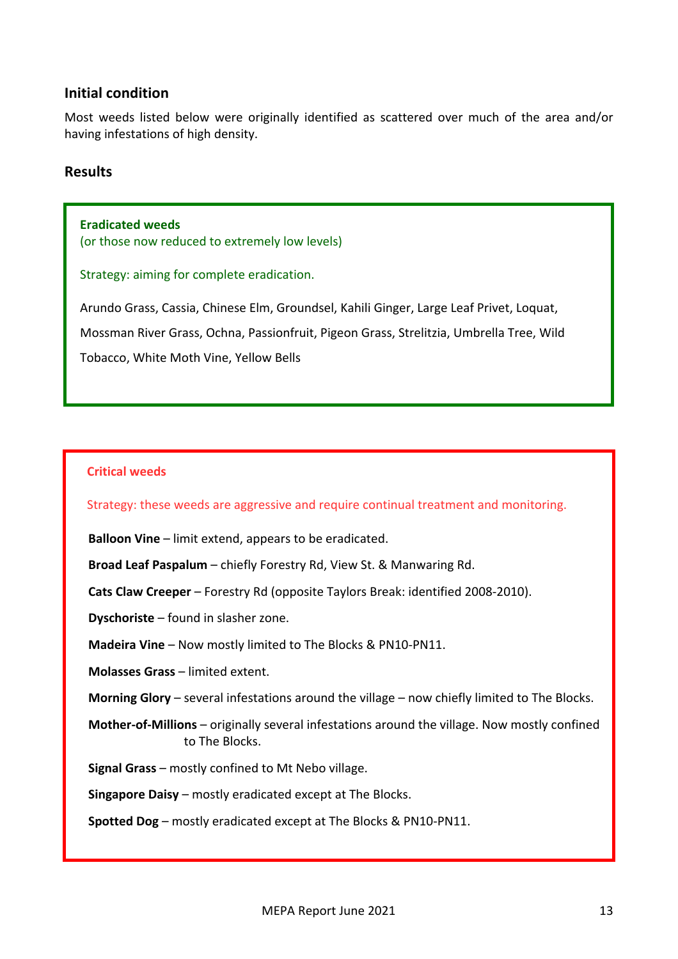## **Initial condition**

Most weeds listed below were originally identified as scattered over much of the area and/or having infestations of high density.

#### **Results**

**Eradicated weeds** (or those now reduced to extremely low levels)

Strategy: aiming for complete eradication.

Arundo Grass, Cassia, Chinese Elm, Groundsel, Kahili Ginger, Large Leaf Privet, Loquat, Mossman River Grass, Ochna, Passionfruit, Pigeon Grass, Strelitzia, Umbrella Tree, Wild Tobacco, White Moth Vine, Yellow Bells

#### **Critical weeds**

Strategy: these weeds are aggressive and require continual treatment and monitoring.

**Balloon Vine** – limit extend, appears to be eradicated.

**Broad Leaf Paspalum** – chiefly Forestry Rd, View St. & Manwaring Rd.

**Cats Claw Creeper** – Forestry Rd (opposite Taylors Break: identified 2008-2010).

**Dyschoriste** – found in slasher zone.

**Madeira Vine** – Now mostly limited to The Blocks & PN10-PN11.

**Molasses Grass** – limited extent.

**Morning Glory** – several infestations around the village – now chiefly limited to The Blocks.

**Mother-of-Millions** – originally several infestations around the village. Now mostly confined to The Blocks.

**Signal Grass** – mostly confined to Mt Nebo village.

**Singapore Daisy** – mostly eradicated except at The Blocks.

**Spotted Dog** – mostly eradicated except at The Blocks & PN10-PN11.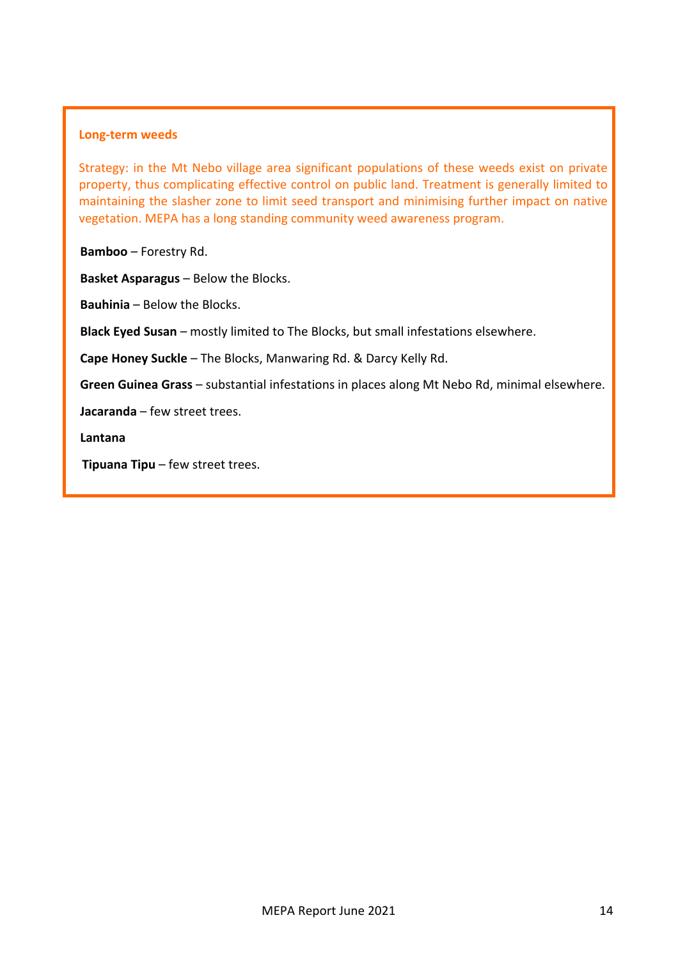#### **Long-term weeds**

Strategy: in the Mt Nebo village area significant populations of these weeds exist on private property, thus complicating effective control on public land. Treatment is generally limited to maintaining the slasher zone to limit seed transport and minimising further impact on native vegetation. MEPA has a long standing community weed awareness program.

**Bamboo** – Forestry Rd.

**Basket Asparagus** – Below the Blocks.

**Bauhinia** – Below the Blocks.

**Black Eyed Susan** – mostly limited to The Blocks, but small infestations elsewhere.

**Cape Honey Suckle** – The Blocks, Manwaring Rd. & Darcy Kelly Rd.

**Green Guinea Grass** – substantial infestations in places along Mt Nebo Rd, minimal elsewhere.

**Jacaranda** – few street trees.

**Lantana**

**Tipuana Tipu** – few street trees.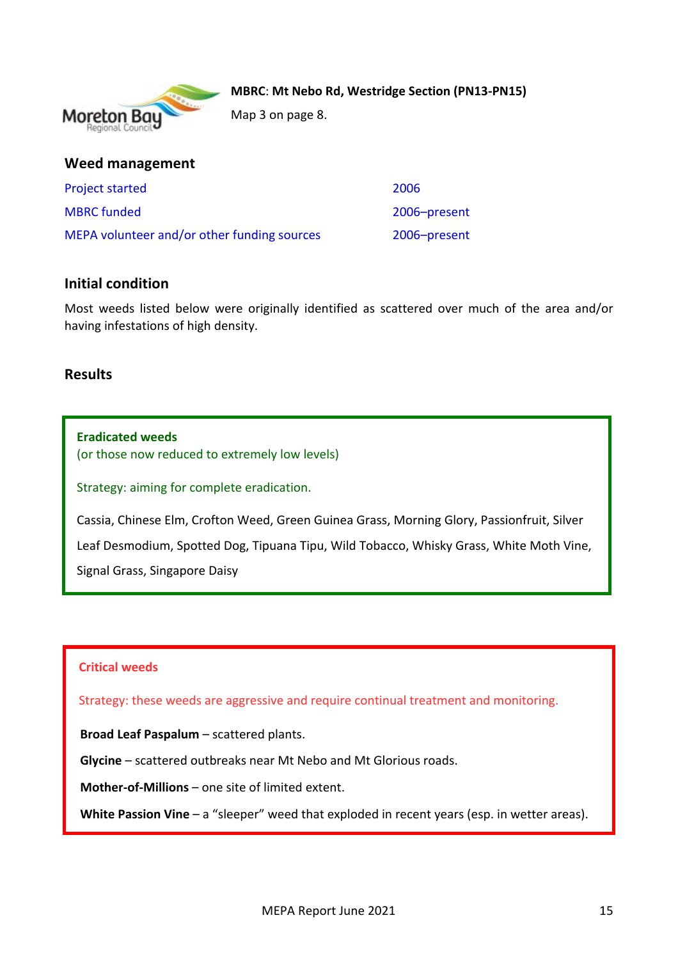

**MBRC: Mt Nebo Rd, Westridge Section (PN13-PN15)** 

Map 3 on page 8.

|  |  |  |  |  |  |  |  |  |  |  |  |  | <b>Weed management</b> |  |  |  |
|--|--|--|--|--|--|--|--|--|--|--|--|--|------------------------|--|--|--|
|--|--|--|--|--|--|--|--|--|--|--|--|--|------------------------|--|--|--|

| <b>Project started</b>                      | 2006         |
|---------------------------------------------|--------------|
| <b>MBRC</b> funded                          | 2006-present |
| MEPA volunteer and/or other funding sources | 2006-present |

## **Initial condition**

Most weeds listed below were originally identified as scattered over much of the area and/or having infestations of high density.

## **Results**

**Eradicated weeds** (or those now reduced to extremely low levels)

Strategy: aiming for complete eradication.

Cassia, Chinese Elm, Crofton Weed, Green Guinea Grass, Morning Glory, Passionfruit, Silver Leaf Desmodium, Spotted Dog, Tipuana Tipu, Wild Tobacco, Whisky Grass, White Moth Vine, Signal Grass, Singapore Daisy

## **Critical weeds**

Strategy: these weeds are aggressive and require continual treatment and monitoring.

**Broad Leaf Paspalum** – scattered plants.

**Glycine** – scattered outbreaks near Mt Nebo and Mt Glorious roads.

**Mother-of-Millions** – one site of limited extent.

**White Passion Vine** – a "sleeper" weed that exploded in recent years (esp. in wetter areas).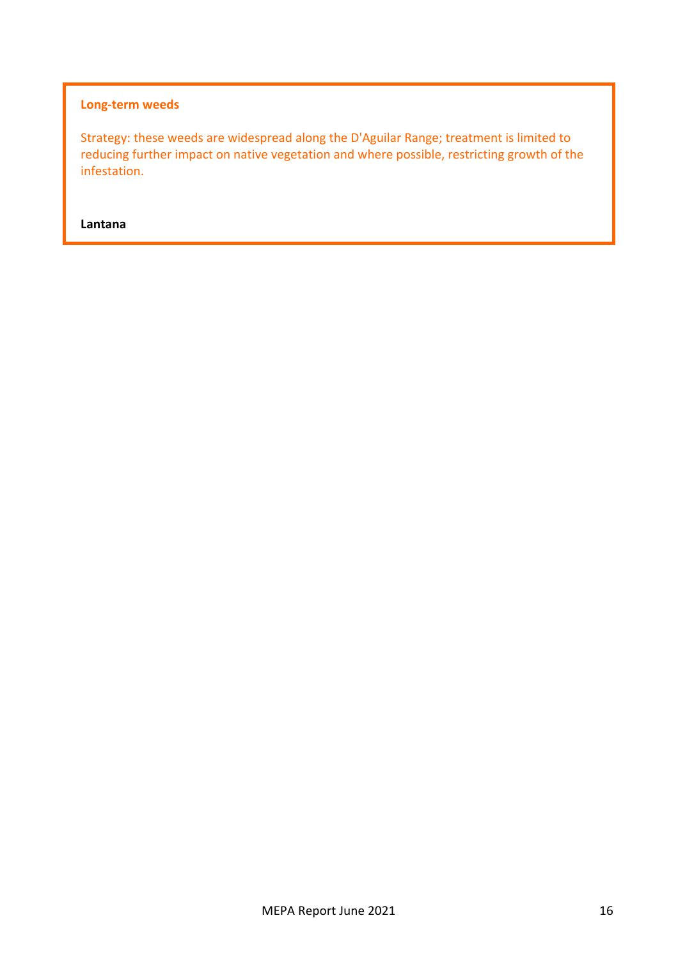## **Long-term weeds**

Strategy: these weeds are widespread along the D'Aguilar Range; treatment is limited to reducing further impact on native vegetation and where possible, restricting growth of the infestation.

**Lantana**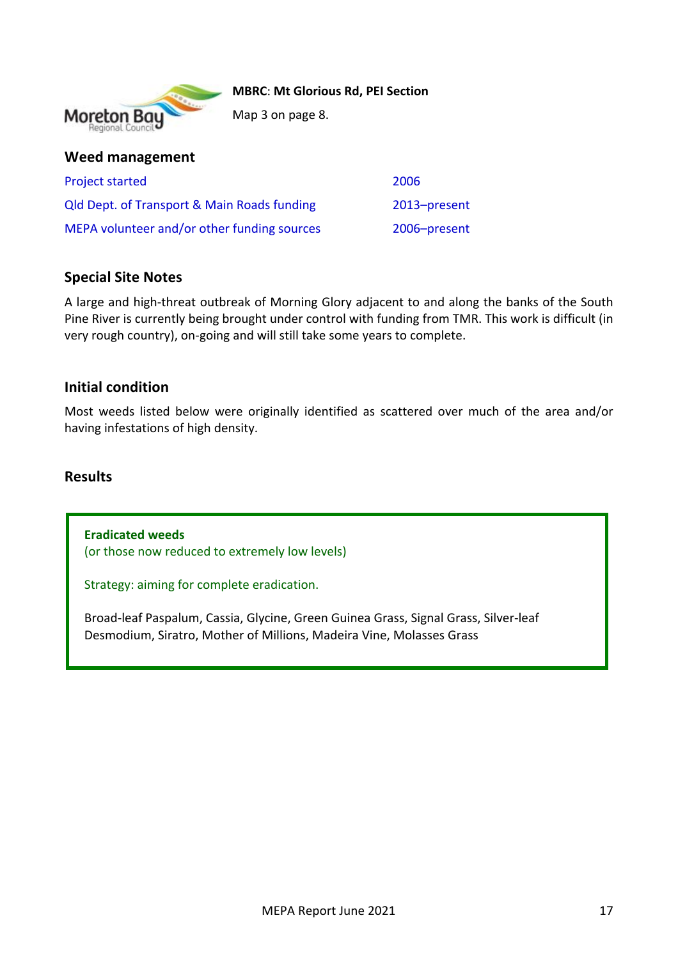

**MBRC**: **Mt Glorious Rd, PEI Section**

Map 3 on page 8.

## **Weed management**

| <b>Project started</b>                                 | 2006         |
|--------------------------------------------------------|--------------|
| <b>Qld Dept. of Transport &amp; Main Roads funding</b> | 2013-present |
| MEPA volunteer and/or other funding sources            | 2006-present |

# **Special Site Notes**

A large and high-threat outbreak of Morning Glory adjacent to and along the banks of the South Pine River is currently being brought under control with funding from TMR. This work is difficult (in very rough country), on-going and will still take some years to complete.

## **Initial condition**

Most weeds listed below were originally identified as scattered over much of the area and/or having infestations of high density.

## **Results**

**Eradicated weeds** (or those now reduced to extremely low levels)

Strategy: aiming for complete eradication.

Broad-leaf Paspalum, Cassia, Glycine, Green Guinea Grass, Signal Grass, Silver-leaf Desmodium, Siratro, Mother of Millions, Madeira Vine, Molasses Grass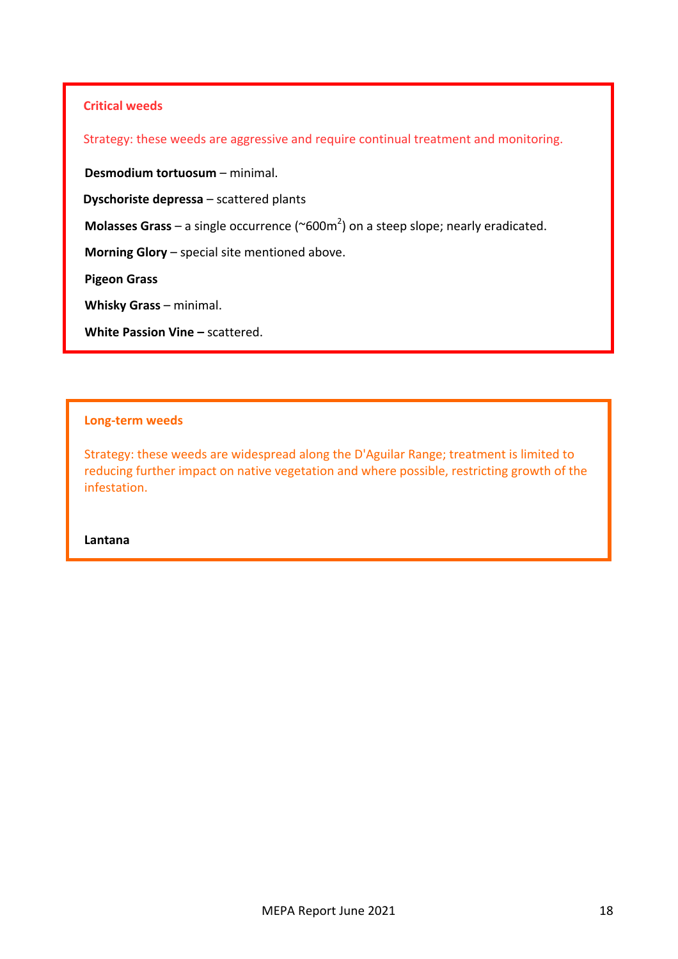#### **Critical weeds**

Strategy: these weeds are aggressive and require continual treatment and monitoring.

**Desmodium tortuosum** – minimal.

**Dyschoriste depressa** – scattered plants

**Molasses Grass** – a single occurrence ( $\sim$ 600m<sup>2</sup>) on a steep slope; nearly eradicated.

**Morning Glory** – special site mentioned above.

**Pigeon Grass**

**Whisky Grass** – minimal.

**White Passion Vine – scattered.** 

#### **Long-term weeds**

Strategy: these weeds are widespread along the D'Aguilar Range; treatment is limited to reducing further impact on native vegetation and where possible, restricting growth of the infestation.

**Lantana**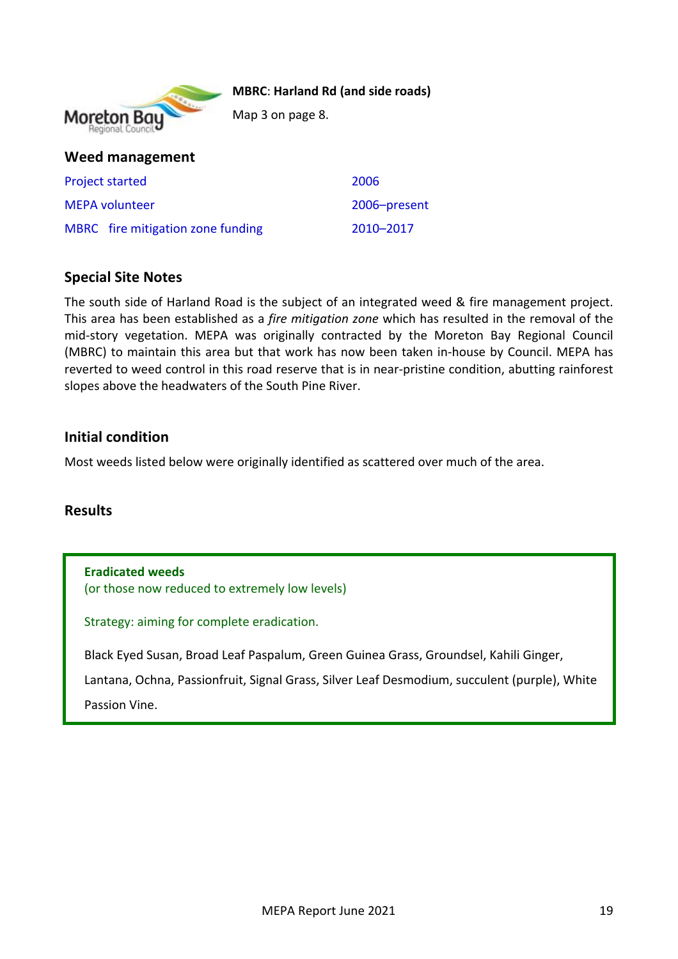#### **MBRC: Harland Rd (and side roads)**



Map 3 on page 8.

| Weed management                   |              |
|-----------------------------------|--------------|
| <b>Project started</b>            | 2006         |
| <b>MEPA volunteer</b>             | 2006-present |
| MBRC fire mitigation zone funding | 2010-2017    |

# **Special Site Notes**

The south side of Harland Road is the subject of an integrated weed & fire management project. This area has been established as a *fire mitigation zone* which has resulted in the removal of the mid-story vegetation. MEPA was originally contracted by the Moreton Bay Regional Council (MBRC) to maintain this area but that work has now been taken in-house by Council. MEPA has reverted to weed control in this road reserve that is in near-pristine condition, abutting rainforest slopes above the headwaters of the South Pine River.

## **Initial condition**

Most weeds listed below were originally identified as scattered over much of the area.

## **Results**

**Eradicated weeds** (or those now reduced to extremely low levels)

Strategy: aiming for complete eradication.

Black Eyed Susan, Broad Leaf Paspalum, Green Guinea Grass, Groundsel, Kahili Ginger,

Lantana, Ochna, Passionfruit, Signal Grass, Silver Leaf Desmodium, succulent (purple), White Passion Vine.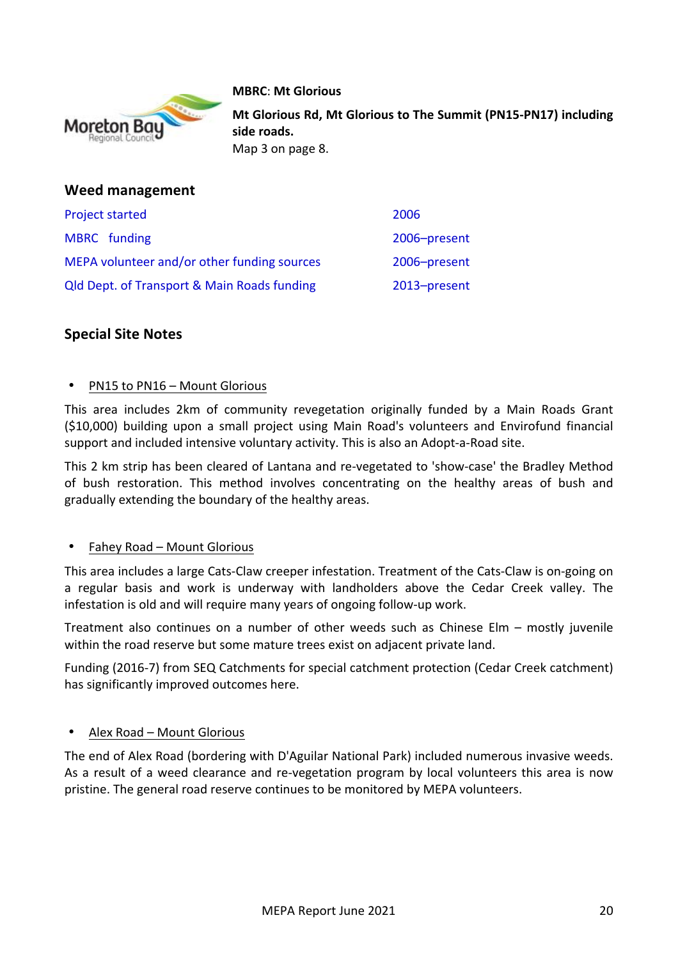

#### **MBRC**: **Mt Glorious**

**Mt Glorious Rd, Mt Glorious to The Summit (PN15-PN17) including** side roads.

Map 3 on page 8.

| Weed management                                        |              |
|--------------------------------------------------------|--------------|
| <b>Project started</b>                                 | 2006         |
| MBRC funding                                           | 2006-present |
| MEPA volunteer and/or other funding sources            | 2006-present |
| <b>Qld Dept. of Transport &amp; Main Roads funding</b> | 2013-present |

# **Special Site Notes**

#### PN15 to PN16 – Mount Glorious

This area includes 2km of community revegetation originally funded by a Main Roads Grant (\$10,000) building upon a small project using Main Road's volunteers and Envirofund financial support and included intensive voluntary activity. This is also an Adopt-a-Road site.

This 2 km strip has been cleared of Lantana and re-vegetated to 'show-case' the Bradley Method of bush restoration. This method involves concentrating on the healthy areas of bush and gradually extending the boundary of the healthy areas.

#### Fahey Road – Mount Glorious

This area includes a large Cats-Claw creeper infestation. Treatment of the Cats-Claw is on-going on a regular basis and work is underway with landholders above the Cedar Creek valley. The infestation is old and will require many years of ongoing follow-up work.

Treatment also continues on a number of other weeds such as Chinese Elm – mostly juvenile within the road reserve but some mature trees exist on adjacent private land.

Funding (2016-7) from SEQ Catchments for special catchment protection (Cedar Creek catchment) has significantly improved outcomes here.

#### Alex Road – Mount Glorious

The end of Alex Road (bordering with D'Aguilar National Park) included numerous invasive weeds. As a result of a weed clearance and re-vegetation program by local volunteers this area is now pristine. The general road reserve continues to be monitored by MEPA volunteers.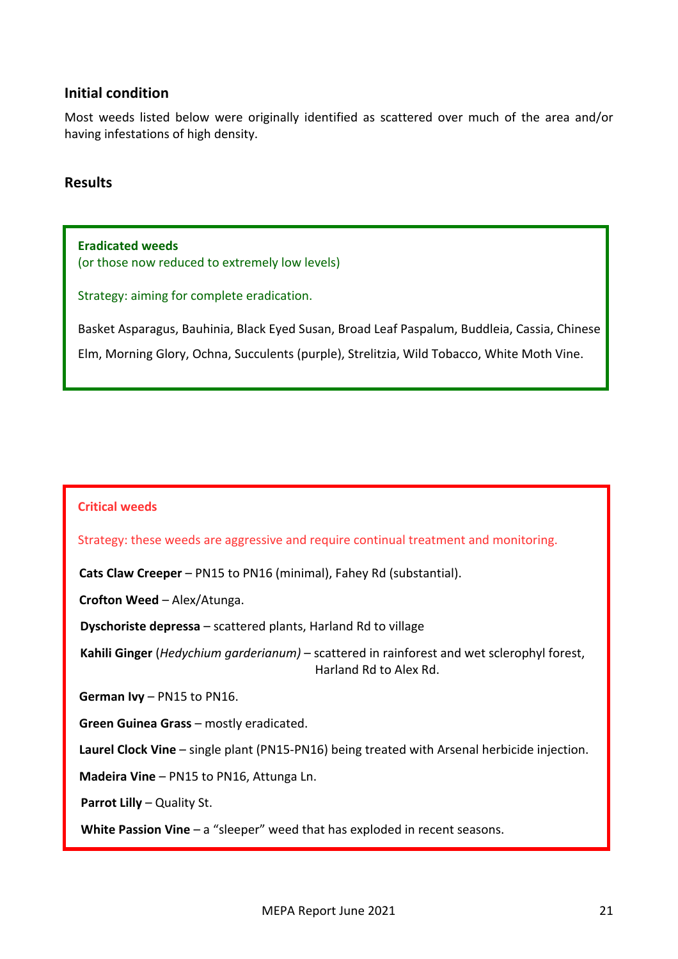## **Initial condition**

Most weeds listed below were originally identified as scattered over much of the area and/or having infestations of high density.

#### **Results**

**Eradicated weeds** (or those now reduced to extremely low levels)

Strategy: aiming for complete eradication.

Basket Asparagus, Bauhinia, Black Eyed Susan, Broad Leaf Paspalum, Buddleia, Cassia, Chinese

Elm, Morning Glory, Ochna, Succulents (purple), Strelitzia, Wild Tobacco, White Moth Vine.

#### **Critical weeds**

Strategy: these weeds are aggressive and require continual treatment and monitoring.

**Cats Claw Creeper** – PN15 to PN16 (minimal), Fahey Rd (substantial).

**Crofton Weed** – Alex/Atunga.

**Dyschoriste depressa** – scattered plants, Harland Rd to village

Kahili Ginger (*Hedychium garderianum*) – scattered in rainforest and wet sclerophyl forest, Harland Rd to Alex Rd.

**German Ivy** – PN15 to PN16.

**Green Guinea Grass** – mostly eradicated.

**Laurel Clock Vine** – single plant (PN15-PN16) being treated with Arsenal herbicide injection.

**Madeira Vine** – PN15 to PN16, Attunga Ln.

**Parrot Lilly** – Quality St.

**White Passion Vine** – a "sleeper" weed that has exploded in recent seasons.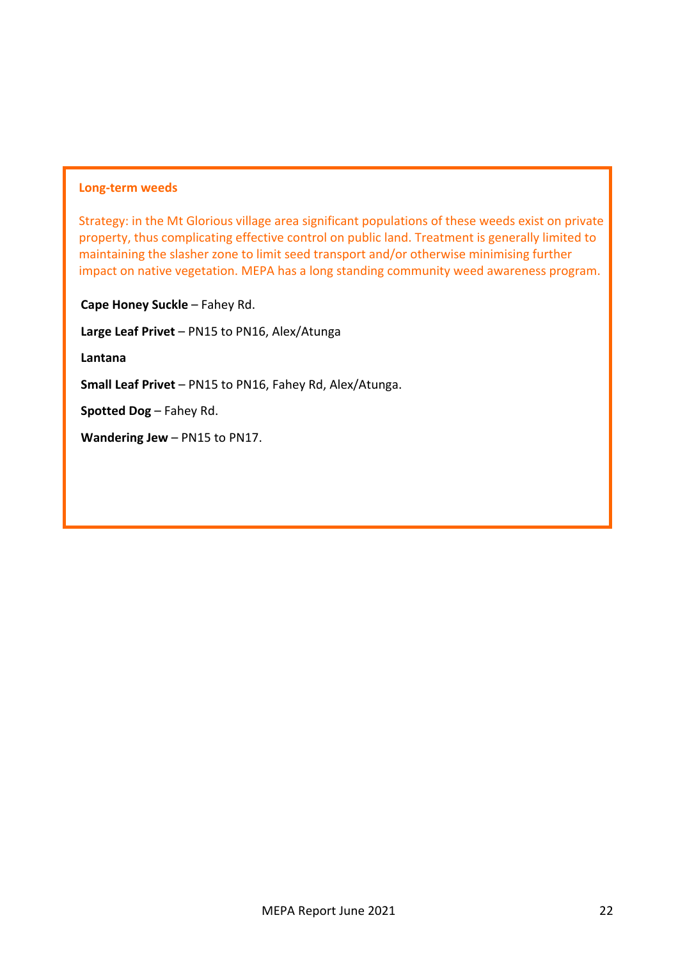#### **Long-term weeds**

Strategy: in the Mt Glorious village area significant populations of these weeds exist on private property, thus complicating effective control on public land. Treatment is generally limited to maintaining the slasher zone to limit seed transport and/or otherwise minimising further impact on native vegetation. MEPA has a long standing community weed awareness program.

**Cape Honey Suckle** – Fahey Rd.

**Large Leaf Privet** – PN15 to PN16, Alex/Atunga

**Lantana**

**Small Leaf Privet** – PN15 to PN16, Fahey Rd, Alex/Atunga.

**Spotted Dog** – Fahey Rd.

**Wandering Jew** – PN15 to PN17.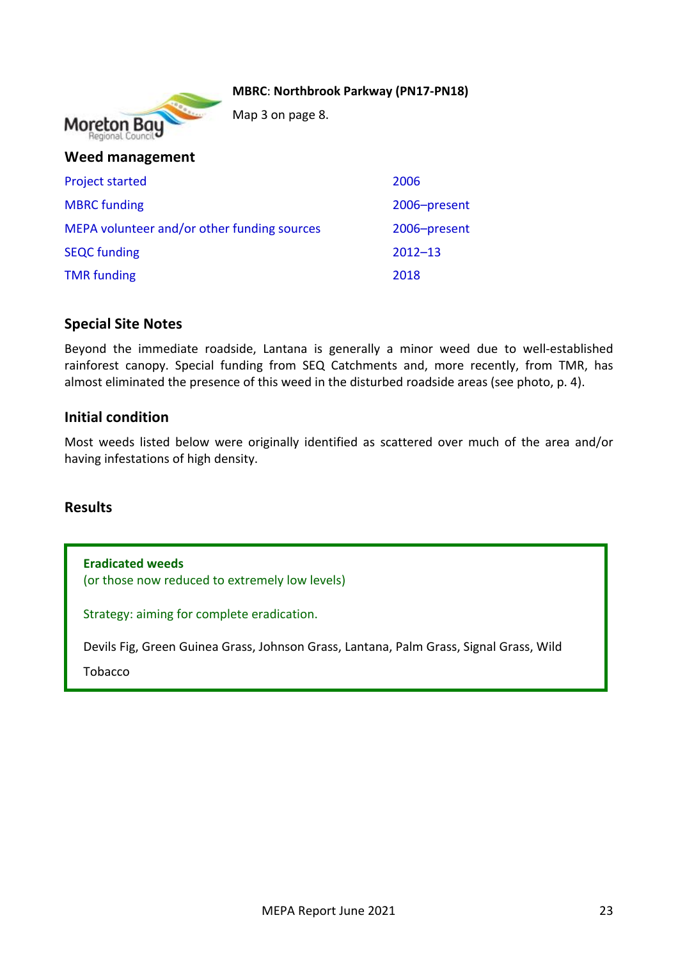#### **MBRC**: **Northbrook Parkway (PN17-PN18)**



Map 3 on page 8.

| Weed management                             |              |
|---------------------------------------------|--------------|
| <b>Project started</b>                      | 2006         |
| <b>MBRC</b> funding                         | 2006-present |
| MEPA volunteer and/or other funding sources | 2006-present |
| <b>SEQC</b> funding                         | $2012 - 13$  |
| <b>TMR</b> funding                          | 2018         |

## **Special Site Notes**

Beyond the immediate roadside, Lantana is generally a minor weed due to well-established rainforest canopy. Special funding from SEQ Catchments and, more recently, from TMR, has almost eliminated the presence of this weed in the disturbed roadside areas (see photo, p. 4).

## **Initial condition**

Most weeds listed below were originally identified as scattered over much of the area and/or having infestations of high density.

## **Results**

**Eradicated weeds** (or those now reduced to extremely low levels)

Strategy: aiming for complete eradication.

Devils Fig, Green Guinea Grass, Johnson Grass, Lantana, Palm Grass, Signal Grass, Wild

Tobacco